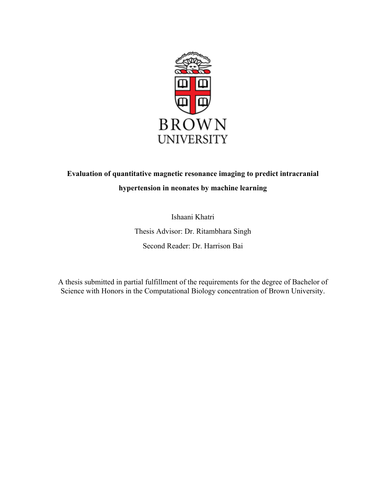

# **Evaluation of quantitative magnetic resonance imaging to predict intracranial hypertension in neonates by machine learning**

Ishaani Khatri

Thesis Advisor: Dr. Ritambhara Singh

Second Reader: Dr. Harrison Bai

A thesis submitted in partial fulfillment of the requirements for the degree of Bachelor of Science with Honors in the Computational Biology concentration of Brown University.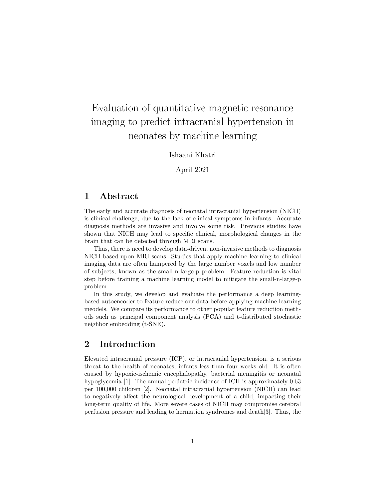# Evaluation of quantitative magnetic resonance imaging to predict intracranial hypertension in neonates by machine learning

Ishaani Khatri

April 2021

### 1 Abstract

The early and accurate diagnosis of neonatal intracranial hypertension (NICH) is clinical challenge, due to the lack of clinical symptoms in infants. Accurate diagnosis methods are invasive and involve some risk. Previous studies have shown that NICH may lead to specific clinical, morphological changes in the brain that can be detected through MRI scans.

Thus, there is need to develop data-driven, non-invasive methods to diagnosis NICH based upon MRI scans. Studies that apply machine learning to clinical imaging data are often hampered by the large number voxels and low number of subjects, known as the small-n-large-p problem. Feature reduction is vital step before training a machine learning model to mitigate the small-n-large-p problem.

In this study, we develop and evaluate the performance a deep learningbased autoencoder to feature reduce our data before applying machine learning meodels. We compare its performance to other popular feature reduction methods such as principal component analysis (PCA) and t-distributed stochastic neighbor embedding (t-SNE).

## 2 Introduction

Elevated intracranial pressure (ICP), or intracranial hypertension, is a serious threat to the health of neonates, infants less than four weeks old. It is often caused by hypoxic-ischemic encephalopathy, bacterial meningitis or neonatal hypoglycemia [1]. The annual pediatric incidence of ICH is approximately 0.63 per 100,000 children [2]. Neonatal intracranial hypertension (NICH) can lead to negatively affect the neurological development of a child, impacting their long-term quality of life. More severe cases of NICH may compromise cerebral perfusion pressure and leading to herniation syndromes and death[3]. Thus, the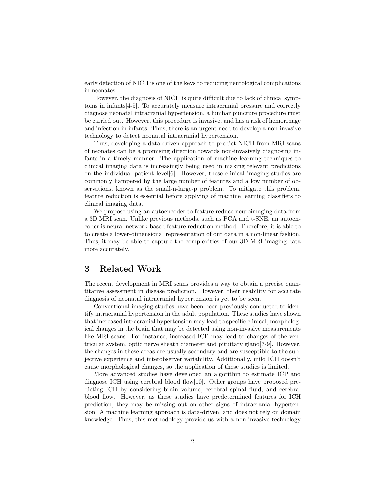early detection of NICH is one of the keys to reducing neurological complications in neonates.

However, the diagnosis of NICH is quite difficult due to lack of clinical symptoms in infants[4-5]. To accurately measure intracranial pressure and correctly diagnose neonatal intracranial hypertension, a lumbar puncture procedure must be carried out. However, this procedure is invasive, and has a risk of hemorrhage and infection in infants. Thus, there is an urgent need to develop a non-invasive technology to detect neonatal intracranial hypertension.

Thus, developing a data-driven approach to predict NICH from MRI scans of neonates can be a promising direction towards non-invasively diagnosing infants in a timely manner. The application of machine learning techniques to clinical imaging data is increasingly being used in making relevant predictions on the individual patient level[6]. However, these clinical imaging studies are commonly hampered by the large number of features and a low number of observations, known as the small-n-large-p problem. To mitigate this problem, feature reduction is essential before applying of machine learning classifiers to clinical imaging data.

We propose using an autoencoder to feature reduce neuroimaging data from a 3D MRI scan. Unlike previous methods, such as PCA and t-SNE, an autoencoder is neural network-based feature reduction method. Therefore, it is able to to create a lower-dimensional representation of our data in a non-linear fashion. Thus, it may be able to capture the complexities of our 3D MRI imaging data more accurately.

### 3 Related Work

The recent development in MRI scans provides a way to obtain a precise quantitative assessment in disease prediction. However, their usability for accurate diagnosis of neonatal intracranial hypertension is yet to be seen.

Conventional imaging studies have been been previously conducted to identify intracranial hypertension in the adult population. These studies have shown that increased intracranial hypertension may lead to specific clinical, morphological changes in the brain that may be detected using non-invasive measurements like MRI scans. For instance, increased ICP may lead to changes of the ventricular system, optic nerve sheath diameter and pituitary gland[7-9]. However, the changes in these areas are usually secondary and are susceptible to the subjective experience and interobserver variability. Additionally, mild ICH doesn't cause morphological changes, so the application of these studies is limited.

More advanced studies have developed an algorithm to estimate ICP and diagnose ICH using cerebral blood flow[10]. Other groups have proposed predicting ICH by considering brain volume, cerebral spinal fluid, and cerebral blood flow. However, as these studies have predetermined features for ICH prediction, they may be missing out on other signs of intracranial hypertension. A machine learning approach is data-driven, and does not rely on domain knowledge. Thus, this methodology provide us with a non-invasive technology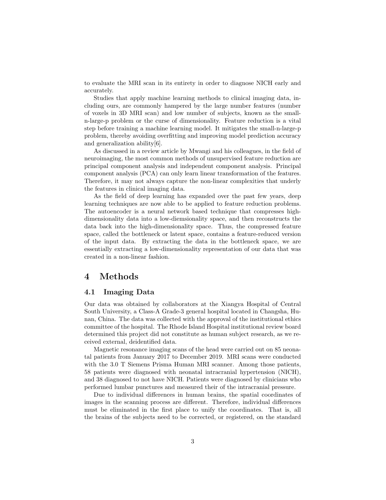to evaluate the MRI scan in its entirety in order to diagnose NICH early and accurately.

Studies that apply machine learning methods to clinical imaging data, including ours, are commonly hampered by the large number features (number of voxels in 3D MRI scan) and low number of subjects, known as the smalln-large-p problem or the curse of dimensionality. Feature reduction is a vital step before training a machine learning model. It mitigates the small-n-large-p problem, thereby avoiding overfitting and improving model prediction accuracy and generalization ability[6].

As discussed in a review article by Mwangi and his colleagues, in the field of neuroimaging, the most common methods of unsupervised feature reduction are principal component analysis and independent component analysis. Principal component analysis (PCA) can only learn linear transformation of the features. Therefore, it may not always capture the non-linear complexities that underly the features in clinical imaging data.

As the field of deep learning has expanded over the past few years, deep learning techniques are now able to be applied to feature reduction problems. The autoencoder is a neural network based technique that compresses highdimensionality data into a low-diemsionality space, and then reconstructs the data back into the high-dimensionality space. Thus, the compressed feature space, called the bottleneck or latent space, contains a feature-reduced version of the input data. By extracting the data in the bottleneck space, we are essentially extracting a low-dimensionality representation of our data that was created in a non-linear fashion.

### 4 Methods

#### 4.1 Imaging Data

Our data was obtained by collaborators at the Xiangya Hospital of Central South University, a Class-A Grade-3 general hospital located in Changsha, Hunan, China. The data was collected with the approval of the institutional ethics committee of the hospital. The Rhode Island Hospital institutional review board determined this project did not constitute as human subject research, as we received external, deidentified data.

Magnetic resonance imaging scans of the head were carried out on 85 neonatal patients from January 2017 to December 2019. MRI scans were conducted with the 3.0 T Siemens Prisma Human MRI scanner. Among those patients, 58 patients were diagnosed with neonatal intracranial hypertension (NICH), and 38 diagnosed to not have NICH. Patients were diagnosed by clinicians who performed lumbar punctures and measured their of the intracranial pressure.

Due to individual differences in human brains, the spatial coordinates of images in the scanning process are different. Therefore, individual differences must be eliminated in the first place to unify the coordinates. That is, all the brains of the subjects need to be corrected, or registered, on the standard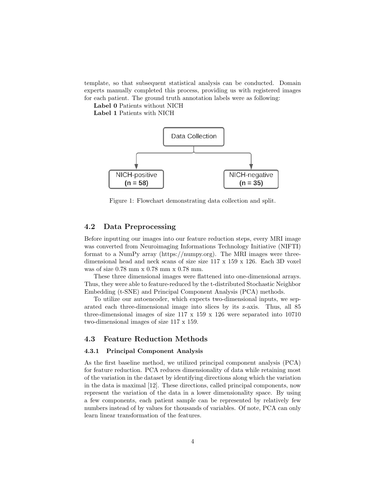template, so that subsequent statistical analysis can be conducted. Domain experts manually completed this process, providing us with registered images for each patient. The ground truth annotation labels were as following:

Label 0 Patients without NICH

Label 1 Patients with NICH



Figure 1: Flowchart demonstrating data collection and split.

#### 4.2 Data Preprocessing

Before inputting our images into our feature reduction steps, every MRI image was converted from Neuroimaging Informations Technology Initiative (NIFTI) format to a NumPy array (https://numpy.org). The MRI images were threedimensional head and neck scans of size size 117 x 159 x 126. Each 3D voxel was of size 0.78 mm x 0.78 mm x 0.78 mm.

These three dimensional images were flattened into one-dimensional arrays. Thus, they were able to feature-reduced by the t-distributed Stochastic Neighbor Embedding (t-SNE) and Principal Component Analysis (PCA) methods.

To utilize our autoencoder, which expects two-dimensional inputs, we separated each three-dimensional image into slices by its z-axis. Thus, all 85 three-dimensional images of size  $117 \times 159 \times 126$  were separated into 10710 two-dimensional images of size 117 x 159.

#### 4.3 Feature Reduction Methods

#### 4.3.1 Principal Component Analysis

As the first baseline method, we utilized principal component analysis (PCA) for feature reduction. PCA reduces dimensionality of data while retaining most of the variation in the dataset by identifying directions along which the variation in the data is maximal [12]. These directions, called principal components, now represent the variation of the data in a lower dimensionality space. By using a few components, each patient sample can be represented by relatively few numbers instead of by values for thousands of variables. Of note, PCA can only learn linear transformation of the features.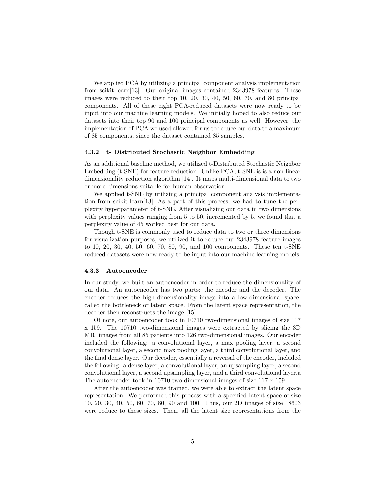We applied PCA by utilizing a principal component analysis implementation from scikit-learn[13]. Our original images contained 2343978 features. These images were reduced to their top 10, 20, 30, 40, 50, 60, 70, and 80 principal components. All of these eight PCA-reduced datasets were now ready to be input into our machine learning models. We initially hoped to also reduce our datasets into their top 90 and 100 principal components as well. However, the implementation of PCA we used allowed for us to reduce our data to a maximum of 85 components, since the dataset contained 85 samples.

#### 4.3.2 t- Distributed Stochastic Neighbor Embedding

As an additional baseline method, we utilized t-Distributed Stochastic Neighbor Embedding (t-SNE) for feature reduction. Unlike PCA, t-SNE is is a non-linear dimensionality reduction algorithm [14]. It maps multi-dimensional data to two or more dimensions suitable for human observation.

We applied t-SNE by utilizing a principal component analysis implementation from scikit-learn[13] .As a part of this process, we had to tune the perplexity hyperparameter of t-SNE. After visualizing our data in two dimensions with perplexity values ranging from 5 to 50, incremented by 5, we found that a perplexity value of 45 worked best for our data.

Though t-SNE is commonly used to reduce data to two or three dimensions for visualization purposes, we utilized it to reduce our 2343978 feature images to 10, 20, 30, 40, 50, 60, 70, 80, 90, and 100 components. These ten t-SNE reduced datasets were now ready to be input into our machine learning models.

#### 4.3.3 Autoencoder

In our study, we built an autoencoder in order to reduce the dimensionality of our data. An autoencoder has two parts: the encoder and the decoder. The encoder reduces the high-dimensionality image into a low-dimensional space, called the bottleneck or latent space. From the latent space representation, the decoder then reconstructs the image [15].

Of note, our autoencoder took in 10710 two-dimensional images of size 117 x 159. The 10710 two-dimensional images were extracted by slicing the 3D MRI images from all 85 patients into 126 two-dimensional images. Our encoder included the following: a convolutional layer, a max pooling layer, a second convolutional layer, a second max pooling layer, a third convolutional layer, and the final dense layer. Our decoder, essentially a reversal of the encoder, included the following: a dense layer, a convolutional layer, an upsampling layer, a second convolutional layer, a second upsampling layer, and a third convolutional layer.a The autoencoder took in 10710 two-dimensional images of size 117 x 159.

After the autoencoder was trained, we were able to extract the latent space representation. We performed this process with a specified latent space of size 10, 20, 30, 40, 50, 60, 70, 80, 90 and 100. Thus, our 2D images of size 18603 were reduce to these sizes. Then, all the latent size representations from the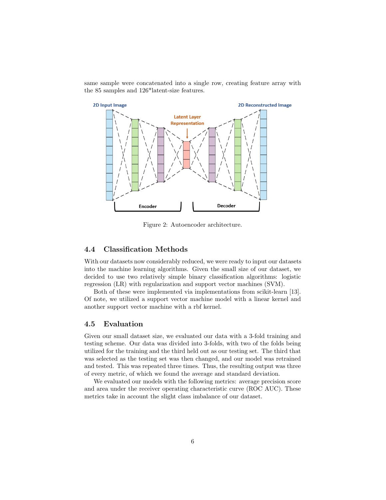same sample were concatenated into a single row, creating feature array with the 85 samples and 126\*latent-size features.



Figure 2: Autoencoder architecture.

#### 4.4 Classification Methods

With our datasets now considerably reduced, we were ready to input our datasets into the machine learning algorithms. Given the small size of our dataset, we decided to use two relatively simple binary classification algorithms: logistic regression (LR) with regularization and support vector machines (SVM).

Both of these were implemented via implementations from scikit-learn [13]. Of note, we utilized a support vector machine model with a linear kernel and another support vector machine with a rbf kernel.

#### 4.5 Evaluation

Given our small dataset size, we evaluated our data with a 3-fold training and testing scheme. Our data was divided into 3-folds, with two of the folds being utilized for the training and the third held out as our testing set. The third that was selected as the testing set was then changed, and our model was retrained and tested. This was repeated three times. Thus, the resulting output was three of every metric, of which we found the average and standard deviation.

We evaluated our models with the following metrics: average precision score and area under the receiver operating characteristic curve (ROC AUC). These metrics take in account the slight class imbalance of our dataset.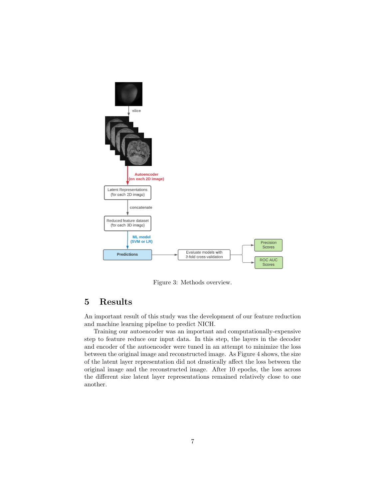

Figure 3: Methods overview.

# 5 Results

An important result of this study was the development of our feature reduction and machine learning pipeline to predict NICH.

Training our autoencoder was an important and computationally-expensive step to feature reduce our input data. In this step, the layers in the decoder and encoder of the autoencoder were tuned in an attempt to minimize the loss between the original image and reconstructed image. As Figure 4 shows, the size of the latent layer representation did not drastically affect the loss between the original image and the reconstructed image. After 10 epochs, the loss across the different size latent layer representations remained relatively close to one another.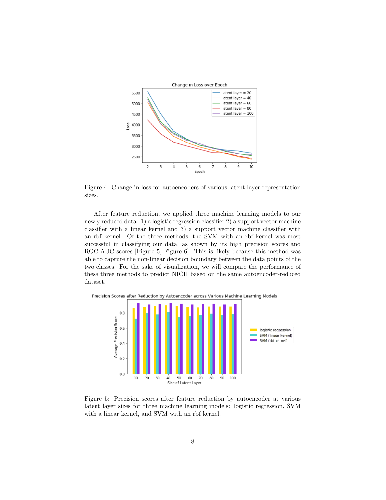

Figure 4: Change in loss for autoencoders of various latent layer representation sizes.

After feature reduction, we applied three machine learning models to our newly reduced data: 1) a logistic regression classifier 2) a support vector machine classifier with a linear kernel and 3) a support vector machine classifier with an rbf kernel. Of the three methods, the SVM with an rbf kernel was most successful in classifying our data, as shown by its high precision scores and ROC AUC scores [Figure 5, Figure 6]. This is likely because this method was able to capture the non-linear decision boundary between the data points of the two classes. For the sake of visualization, we will compare the performance of these three methods to predict NICH based on the same autoencoder-reduced dataset.



Figure 5: Precision scores after feature reduction by autoencoder at various latent layer sizes for three machine learning models: logistic regression, SVM with a linear kernel, and SVM with an rbf kernel.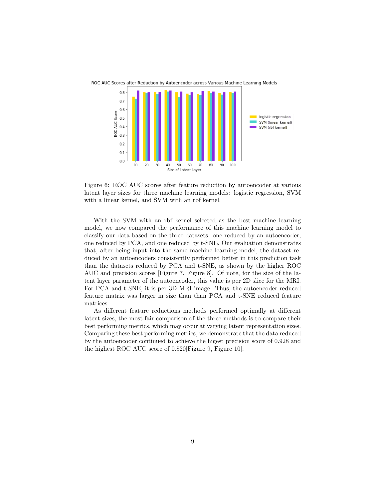

Figure 6: ROC AUC scores after feature reduction by autoencoder at various latent layer sizes for three machine learning models: logistic regression, SVM with a linear kernel, and SVM with an rbf kernel.

With the SVM with an rbf kernel selected as the best machine learning model, we now compared the performance of this machine learning model to classify our data based on the three datasets: one reduced by an autoencoder, one reduced by PCA, and one reduced by t-SNE. Our evaluation demonstrates that, after being input into the same machine learning model, the dataset reduced by an autoencoders consistently performed better in this prediction task than the datasets reduced by PCA and t-SNE, as shown by the higher ROC AUC and precision scores [Figure 7, Figure 8]. Of note, for the size of the latent layer parameter of the autoencoder, this value is per 2D slice for the MRI. For PCA and t-SNE, it is per 3D MRI image. Thus, the autoencoder reduced feature matrix was larger in size than than PCA and t-SNE reduced feature matrices.

As different feature reductions methods performed optimally at different latent sizes, the most fair comparison of the three methods is to compare their best performing metrics, which may occur at varying latent representation sizes. Comparing these best performing metrics, we demonstrate that the data reduced by the autoencoder continued to achieve the higest precision score of 0.928 and the highest ROC AUC score of 0.820[Figure 9, Figure 10].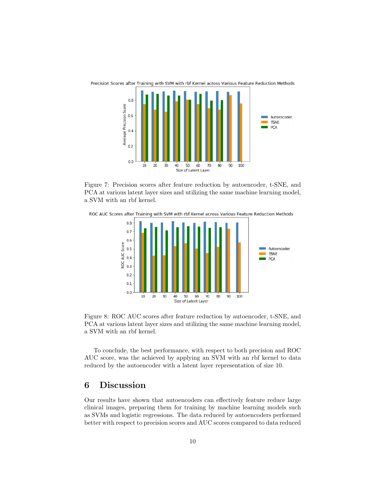

Figure 7: Precision scores after feature reduction by autoencoder, t-SNE, and PCA at various latent layer sizes and utilizing the same machine learning model, a SVM with an rbf kernel.

ROC AUC Scores after Training with SVM with rbf Kernel across Various Feature Reduction Methods



Figure 8: ROC AUC scores after feature reduction by autoencoder, t-SNE, and PCA at various latent layer sizes and utilizing the same machine learning model, a SVM with an rbf kernel.

To conclude, the best performance, with respect to both precision and ROC AUC score, was the achieved by applying an SVM with an rbf kernel to data reduced by the autoencoder with a latent layer representation of size 10.

# 6 Discussion

Our results have shown that autoencoders can effectively feature reduce large clinical images, preparing them for training by machine learning models such as SVMs and logistic regressions. The data reduced by autoencoders performed better with respect to precision scores and AUC scores compared to data reduced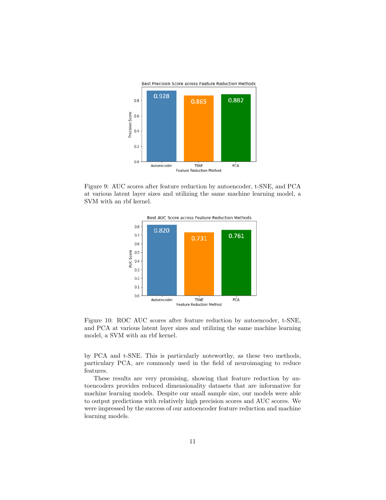

Figure 9: AUC scores after feature reduction by autoencoder, t-SNE, and PCA at various latent layer sizes and utilizing the same machine learning model, a SVM with an rbf kernel.



Figure 10: ROC AUC scores after feature reduction by autoencoder, t-SNE, and PCA at various latent layer sizes and utilizing the same machine learning model, a SVM with an rbf kernel.

by PCA and t-SNE. This is particularly noteworthy, as these two methods, particulary PCA, are commonly used in the field of neuroimaging to reduce features.

These results are very promising, showing that feature reduction by autoencoders provides reduced dimensionality datasets that are informative for machine learning models. Despite our small sample size, our models were able to output predictions with relatively high precision scores and AUC scores. We were impressed by the success of our autoencoder feature reduction and machine learning models.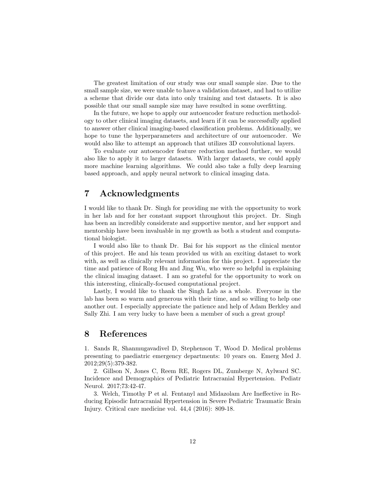The greatest limitation of our study was our small sample size. Due to the small sample size, we were unable to have a validation dataset, and had to utilize a scheme that divide our data into only training and test datasets. It is also possible that our small sample size may have resulted in some overfitting.

In the future, we hope to apply our autoencoder feature reduction methodology to other clinical imaging datasets, and learn if it can be successfully applied to answer other clinical imaging-based classification problems. Additionally, we hope to tune the hyperparameters and architecture of our autoencoder. We would also like to attempt an approach that utilizes 3D convolutional layers.

To evaluate our autoencoder feature reduction method further, we would also like to apply it to larger datasets. With larger datasets, we could apply more machine learning algorithms. We could also take a fully deep learning based approach, and apply neural network to clinical imaging data.

# 7 Acknowledgments

I would like to thank Dr. Singh for providing me with the opportunity to work in her lab and for her constant support throughout this project. Dr. Singh has been an incredibly considerate and supportive mentor, and her support and mentorship have been invaluable in my growth as both a student and computational biologist.

I would also like to thank Dr. Bai for his support as the clinical mentor of this project. He and his team provided us with an exciting dataset to work with, as well as clinically relevant information for this project. I appreciate the time and patience of Rong Hu and Jing Wu, who were so helpful in explaining the clinical imaging dataset. I am so grateful for the opportunity to work on this interesting, clinically-focused computational project.

Lastly, I would like to thank the Singh Lab as a whole. Everyone in the lab has been so warm and generous with their time, and so willing to help one another out. I especially appreciate the patience and help of Adam Berkley and Sally Zhi. I am very lucky to have been a member of such a great group!

### 8 References

1. Sands R, Shanmugavadivel D, Stephenson T, Wood D. Medical problems presenting to paediatric emergency departments: 10 years on. Emerg Med J. 2012;29(5):379-382.

2. Gillson N, Jones C, Reem RE, Rogers DL, Zumberge N, Aylward SC. Incidence and Demographics of Pediatric Intracranial Hypertension. Pediatr Neurol. 2017;73:42-47.

3. Welch, Timothy P et al. Fentanyl and Midazolam Are Ineffective in Reducing Episodic Intracranial Hypertension in Severe Pediatric Traumatic Brain Injury. Critical care medicine vol. 44,4 (2016): 809-18.